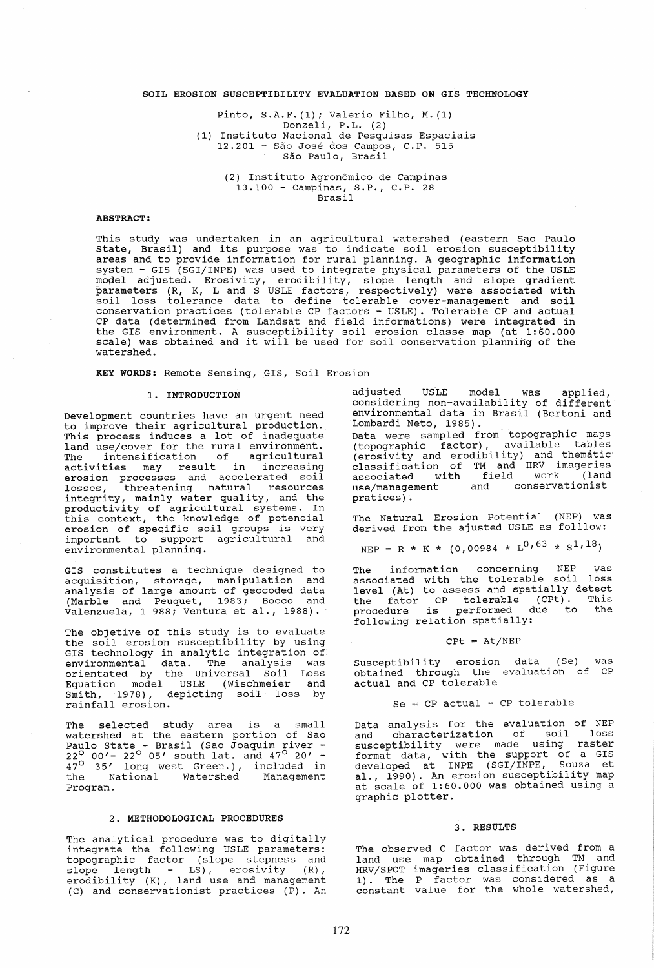## SOIL EROSION SUSCEPTIBILITY EVALUATION BASED ON GIS TECHNOLOGY

Pinto, S.A.F. (1); Valerio Filho, M. (1) Donzeli, P. L. (2) (1) Instituto Nacional de Pesquisas Espaciais 12.201 - Sao Jose dos Campos, C.P. 515 São Paulo, Brasil

> (2) Instituto Agronomico de Campinas 13.100 - Campinas, S.P., C.P. 28 Brasil

## ABSTRACT:

This study was undertaken in an agricultural watershed (eastern Sao Paulo State, Brasil) and its purpose was to indicate soil erosion susceptibility areas and to provide information for rural planning. A geographic information system - GIS (SGI/INPE) was used to integrate physical parameters of the USLE model adjusted. Erosivity, erodibility, slope length and slope gradient parameters (R, K, Land S USLE factors, respectively) were associated with parameters (n) n, is and s osin raceory respectively, were desectated wrent conservation practices (tolerable CP factors - USLE). Tolerable CP and actual CP data (determined from Landsat and field informations) were integrated in the GIS environment. A susceptibility soil erosion classe map (at 1:60.000 scale) was obtained and it will be used for soil conservation planning of the watershed.

KEY WORDS: Remote Sensinq, GIS, Soil Erosion

## 1. INTRODUCTION

Development countries have an urgent need to improve their agricultural production. This process induces a lot of inadequate land use/cover for the rural environment. The intensification of agricultural activities may result in increasing erosion processes and accelerated soil<br>losses, threatening natural resources losses, threatening natural resources integrity, mainly water quality, and the productivity of agricultural systems. In this context, the knowledge of potencial erosion of specific soil groups is very important to support agricultural and environmental planning.

GIS constitutes a technique designed to acquisition, storage, manipulation and analysis of large amount of geocoded data (Marble and Peuquet, 1983; Bocco and Valenzuela, 1 988; Ventura et al., 1988).

The objetive of this study is to evaluate the soil erosion susceptibility by using GIS technology in analytic integration of environmental data. The analysis was orientated by the Universal Soil Loss Equation model USLE (Wischmeier and smith, 1978), depicting soil loss by rainfall erosion.

The selected study area is a small watershed at the eastern portion of Sao Paulo State - Brasil (Sao Joaquim river -<br>22<sup>0</sup> 00'- 22<sup>0</sup> 05' south lat. and 47<sup>0</sup> 20' -<br>47<sup>0</sup> 35' long west Green.), included in the National Watershed Management Program.

### 2. METHODOLOGICAL PROCEDURES

The analytical procedure was to digitally integrate the following USLE parameters: topographic factor (slope stepness and slope length - LS), erosivity (R),<br>slope length - LS), erosivity (R),<br>erodibility (K), land use and management *(C)* and conservationist practices (P). An

adjusted USLE model was applied, considering non-availability of different environmental data in Brasil (Bertoni and Lombardi Neto, 1985).

Data were sampled from topographic maps (topographic factor), available tables (erosivity and erodibility) and thematic' classification of TM and HRV imageries associated with field work (land use/management and conservationist pratices) .

The Natural Erosion Potential (NEP) was derived from the ajusted USLE as folllow:

$$
NEP = R * K * (0,00984 * L0,63 * S1,18)
$$

The information concerning NEP was<br>associated with the tolerable soil loss<br>level (At) to assess level (At) to assess and spatially detect the fator CP tolerable (CPt). This<br>procedure is performed due to the following relation spatially:

$$
C P t = At/NEP
$$

Susceptibility erosion data (5e) was obtained through the evaluation of CP actual and CP tolerable

# $Se = CP$  actual -  $CP$  tolerable

Data analysis for the evaluation of NEP and characterization of soil loss susceptibility were made using raster format data, with the support of a GIS developed at INPE (SGI/INPE, Souza et developed at INFE (BGI/INII) Bodza et at., 1990). An exector subco-permanary map graphic plotter.

### 3. RESULTS

The observed C factor was derived from a land use map obtained through TM and HRV/SPOT imageries classification (Figure 1). The P factor was considered as a<br>constant value for the whole watershed,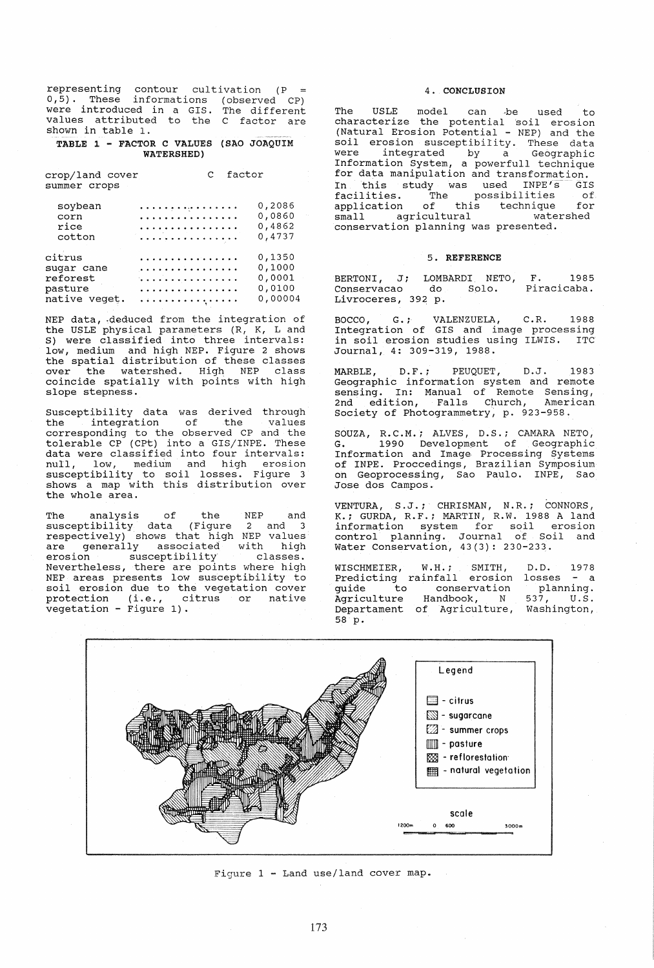representing contour cUltivation (P 0,5). These informations (observed CP) were introduced in a GIS. The different values attributed to the C factor are shown in table 1.

### TABLE 1 - FACTOR C VALUES (SAO JOAQUIM WATERSHED)

| crop/land cover | C factor |
|-----------------|----------|
| summer crops    |          |

| soybean       | . | 0,2086  |
|---------------|---|---------|
| corn          | . | 0,0860  |
| rice          | . | 0,4862  |
| cotton        | . | 0,4737  |
| citrus        | . | 0,1350  |
| sugar cane    | . | 0,1000  |
| reforest      | . | 0,0001  |
| pasture       | . | 0,0100  |
| native veget. | . | 0,00004 |

NEP data, deduced from the integration of the USLE physical parameters (R, K, Land S) were classified into three intervals: low, medium and high NEP. Figure 2 shows the spatial distribution of these classes over the watershed. High NEP class coincide spatially with points with high slope stepness.

Susceptibility data was derived through the integration of the values corresponding to the observed CP and the tolerable CP (CPt) into a GIS/INPE. These data were classified into four intervals: null, low, medium and high erosion susceptibility to soil losses. Figure 3 shows a map with this distribution over<br>the whole area.

The analysis of the NEP and susceptibility data (Figure 2 and 3 respectively) shows that high NEP values<br>are generally associated with high erosion susceptibility classes. erosion susceptibility classes.<br>Nevertheless, there are points where high NEP areas presents low susceptibility to soil erosion due to the vegetation cover protection (i.e., citrus or native vegetation - Figure 1).

## 4. CONCLUSION

The USLE model can ·be used to characterize the potential 'soil erosion (Natural Erosion Potential - NEP) and the soil erosion susceptibility. These data were integrated by a Geographic<br>Information System, a powerfull technique for data manipulation and transformation.<br>In this study was used INPE's GIS In this study was used INPE's GIS facilities. The possibilities of application of this technique for small agricultural watershed small agricultural wate:<br>conservation planning was presented.

## 5. REFERENCE

BERTONI, J; LOMBARDI NETO, F. 1985 Conservacao do Solo. Piracicaba. Conservacao do Solo.<br>Livroceres, 392 p.

BOCCO, G.; VALENZUELA, C.R. 1988 Integration of GIS and image processing in soil erosion studies using ILWIS. ITC Journal, 4: 309-319, 1988.

MARBLE, D. F.; PEUQUET, D. J. 1983 Geographic information system and remote sensing. In: Manual of Remote Sensing, 2nd edition, Falls Church, American Society of Photogrammetry, p. 923-958.

SOUZA, R.C.M.; ALVES, D.S.; CAMARA NETO, G. 1990 Development of Geographic Information and Image Processing Systems on Geoprocessing, Sao Paulo. INPE, Sao Jose dos Campos.

VENTURA, S.J.; CHRISMAN, N.R.; CONNORS, K.; GURDA, R.F.; MARTIN, R.W. 1988 A land information system for soil erosion control planning. Journal of Soil and Water Conservation, 43(3): 230-233.

WISCHMEIER, W.H.; SMITH, D.D. 1978<br>Predicting rainfall erosion losses - a<br>guide to conservation planning. guide to Agriculture Departament of Agriculture, Washington, 58 p. conservation Handbook, N planning.<br>537, U.S.



Figure 1 - Land use/land cover map.